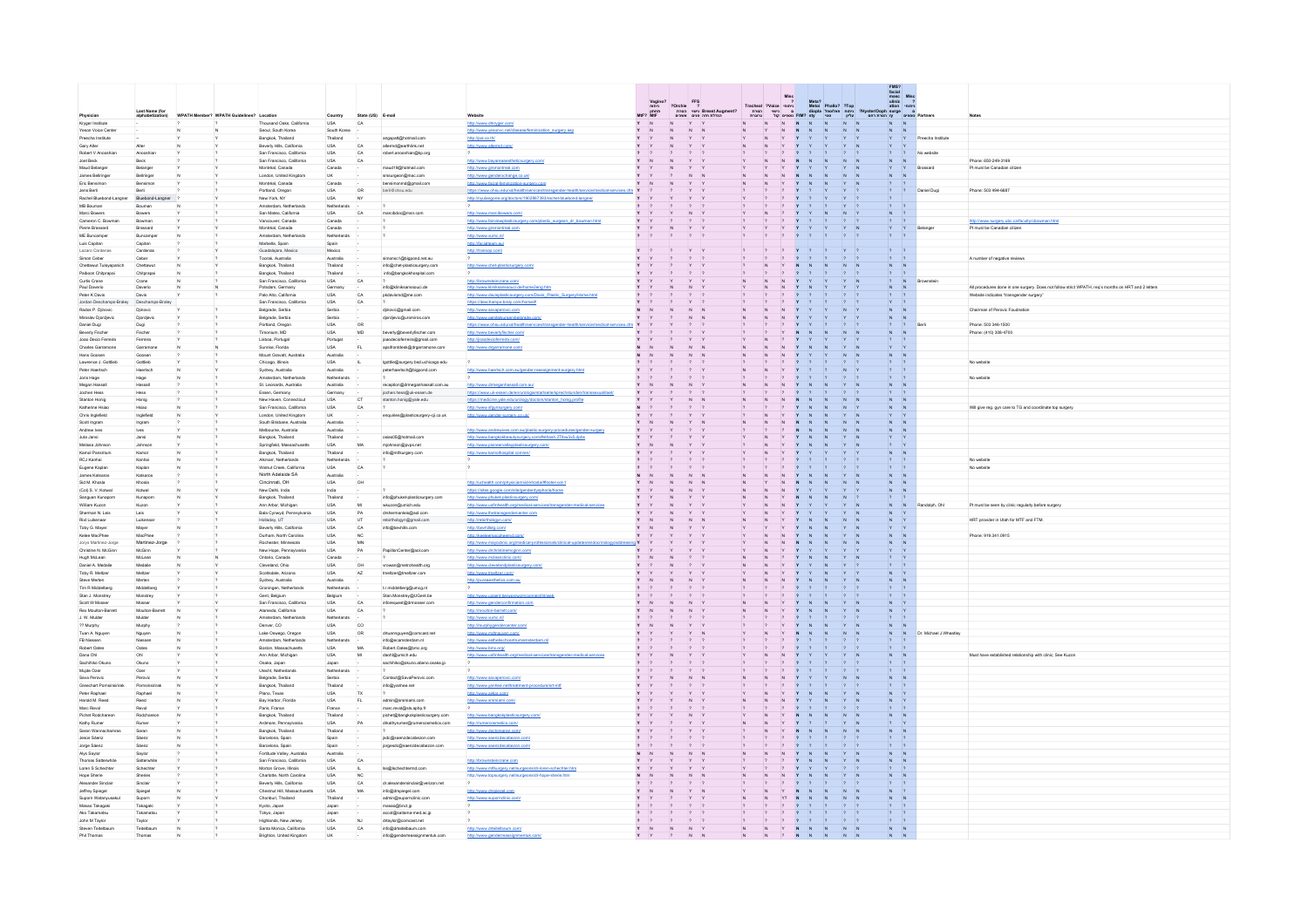|                                          |                         |                                          |                                                           |                           |                         |                                                              |                                                                                                                  |                                             |                          |                             |                                                                                  |                                                                                |                               | $\begin{tabular}{ll} FMS?\\ \text{facial} \\ \text{masc} \\ \text{uliniz} \\ \text{ation} \\ \text{on} \\ \text{on} \\ \end{tabular}$ |                      |                                                                                                     |
|------------------------------------------|-------------------------|------------------------------------------|-----------------------------------------------------------|---------------------------|-------------------------|--------------------------------------------------------------|------------------------------------------------------------------------------------------------------------------|---------------------------------------------|--------------------------|-----------------------------|----------------------------------------------------------------------------------|--------------------------------------------------------------------------------|-------------------------------|---------------------------------------------------------------------------------------------------------------------------------------|----------------------|-----------------------------------------------------------------------------------------------------|
|                                          |                         |                                          |                                                           |                           |                         |                                                              |                                                                                                                  |                                             |                          | FFS<br>?<br>"IO" Breast Aug | Misc<br>2 Metro<br>דומחי Tracheal ?Voice<br>מושל FMI? sty<br>מושל FMI? אין ביטוי | Meta?<br>Metol Phallo? ?Top<br>diopla היחוח פסוי<br>יעליון יסטי<br>יעליון יסטי |                               |                                                                                                                                       |                      |                                                                                                     |
|                                          | <b>Last Name (for</b>   | WPATH Member? WPATH Guidelines? Location |                                                           |                           |                         |                                                              |                                                                                                                  | Vagino <sup>1</sup><br>מחתן<br>תחתון<br>MtF | orchie?<br>המרת<br>אשנים |                             |                                                                                  |                                                                                | 2Hyster/Ooph surge a partners |                                                                                                                                       |                      | <b>Notes</b>                                                                                        |
| Physician<br>Kryger Institute            |                         |                                          | Thousand Caks, California                                 | Country<br>USA            | State (US) E-mail<br>CA |                                                              | Website<br>http://www.drkryger.com/                                                                              | N                                           |                          |                             |                                                                                  |                                                                                |                               |                                                                                                                                       |                      |                                                                                                     |
| Yeson Voice Center                       |                         |                                          | Secul, South Korea                                        | South Korea               |                         |                                                              | inization_surgery.asp<br>http://www.yesonyc.net/c                                                                |                                             |                          |                             |                                                                                  |                                                                                |                               |                                                                                                                                       |                      |                                                                                                     |
| Preecha Institute<br>Gary Alter          | Alter                   |                                          | Bangkok, Thailand<br>Beverly Hills, California            | Thailand<br>USA           | CA                      | angspatt@hotmail.com<br>alternd@earthlink.net                | http://pai.co.th/<br>http://www.altermd.com/                                                                     | Y                                           |                          |                             |                                                                                  |                                                                                |                               |                                                                                                                                       | Preecha Institute    |                                                                                                     |
| Robert V Anooshian                       | Anooshian               |                                          | San Francisco, California                                 | USA                       | $_{\mathsf{CA}}$        | robert.anooshian@kp.org                                      |                                                                                                                  | $\overline{?}$<br>$\overline{z}$            |                          |                             |                                                                                  |                                                                                |                               |                                                                                                                                       | No website           |                                                                                                     |
| Joel Beck                                | Beck                    |                                          | San Francisco, California                                 | USA                       | CA                      |                                                              | http://www.bayareaaestheticsurgery.com/                                                                          |                                             |                          |                             |                                                                                  |                                                                                |                               |                                                                                                                                       |                      | Phone: 650-249-3169                                                                                 |
| Maud Belanger<br>James Bellringer        | Belanger<br>Bellringer  |                                          | Montréal, Canada<br>London, United Kingdo                 | Canada<br>UK              |                         | maud19@hotmail.com<br>srssurgeon@mac.com                     | http://www.grsmontreal.com<br>http://www.genderxchange.co.uk/                                                    |                                             |                          |                             |                                                                                  |                                                                                |                               |                                                                                                                                       | Brassard             | Pt must be Canadian citizen                                                                         |
| Eric Bensimon                            | Bensimon                |                                          | Montréal, Canada                                          | Canada                    |                         | simonmd@gmail.cor                                            | http://www.facial-feminization-surgery.com                                                                       |                                             |                          |                             |                                                                                  |                                                                                |                               |                                                                                                                                       |                      |                                                                                                     |
| Jens Berli                               |                         |                                          | Portland, Oregon                                          | USA                       | OR                      | berli@chsu.edu                                               | https://www.chsu.edu/xd/health/services/tra                                                                      |                                             |                          |                             |                                                                                  |                                                                                |                               |                                                                                                                                       | Daniel Dugi          | Phone: 503 494-6687                                                                                 |
| Rachel Bluebo<br>MB Bouman               | Bluebond-Lang<br>Boumar |                                          | New York, NY<br>Amsterdam, Netherland                     | <b>USA</b><br>Netherlands | NY                      |                                                              | http://nyulangone.org/doctors/1902867393/rachel-bluebond-langner                                                 |                                             |                          |                             |                                                                                  |                                                                                |                               |                                                                                                                                       |                      |                                                                                                     |
| Marci Bowers                             | Bowers                  |                                          | San Mateo, California                                     | USA                       | $_{\mathsf{CA}}$        | marcibdoc@msn.com                                            | http://www.marcbowers.com/                                                                                       |                                             |                          |                             |                                                                                  |                                                                                |                               |                                                                                                                                       |                      |                                                                                                     |
| Cameron C. Bowmar                        | Bowman                  |                                          | Vancouver, Canada                                         | Canada                    |                         |                                                              | http://www.fain/explasticsurgery.<br>astic surgeon dr bowman.htm                                                 | Y                                           |                          |                             |                                                                                  |                                                                                |                               |                                                                                                                                       |                      | http://www.surgery.ubc.ca/faculty/cbowman.htm                                                       |
| Pierre Brassard<br>ME Buncamper          | Brassard<br>Buncampe    |                                          | Montréal, Canada<br>Amsterdam, Netherland                 | Canada<br>Netherlands     |                         |                                                              | http://www.grsmontreal.com<br>http://www.yumc.nl/                                                                | $\overline{\mathbf{r}}$                     |                          |                             |                                                                                  |                                                                                |                               |                                                                                                                                       |                      | Pt must be Canadian citize                                                                          |
| Luis Capitan                             | Capitan                 |                                          | Marbella, Spain                                           | Spain                     |                         |                                                              | http://facialteam.eu/                                                                                            |                                             |                          |                             |                                                                                  |                                                                                |                               |                                                                                                                                       |                      |                                                                                                     |
| Lazaro Cardenas                          | Cardenas                |                                          | Guadalajara, Mexi                                         | Mexico                    |                         |                                                              | http://transop.com                                                                                               | $Y$ ?                                       |                          |                             |                                                                                  |                                                                                |                               |                                                                                                                                       |                      |                                                                                                     |
| Simon Ceber<br>Chettawut Tulayapanich    | Ceber<br>Chettawut      |                                          | Toorak, Australia<br>Bangkok, Thailand                    | Australia<br>Thailand     |                         | simonsc1@bigpond.net.au<br>info@chet-plasticsurgery.com      | http://www.chet-plastis                                                                                          | Y.                                          |                          |                             |                                                                                  |                                                                                |                               |                                                                                                                                       |                      | A number of negative reviews                                                                        |
| Palboon Chitprapa                        | Chitprapai              |                                          | Bangkok, Thailand                                         | Thailand                  |                         | info@bangkokhospital.com                                     |                                                                                                                  |                                             |                          |                             |                                                                                  |                                                                                |                               |                                                                                                                                       |                      |                                                                                                     |
| Curtis Crane<br>Paul Daverio             | Crane<br>Daverio        |                                          | San Francisco, California<br>Potsdam, Germany             | <b>USA</b><br>Germany     | CA                      | info@kliniksanssouci.de                                      | http://brownsteincrane.com/<br>http://www.kliniksanssouci.de/home2eng.htm                                        |                                             |                          |                             |                                                                                  |                                                                                |                               | IN.                                                                                                                                   |                      | All procedures done in one surgery. Does not follow strict WPATH, req's months on HRT and 2 letters |
| Peter K Davis                            | Davis                   |                                          | Palo Alto, California                                     | <b>USA</b>                | $_{\rm CA}$             | pkdavismd@me.com                                             | http://www.davisplasticsurgery.com/Davis_Plastic_Surgery/Home.html                                               |                                             |                          |                             |                                                                                  |                                                                                |                               |                                                                                                                                       |                      | Website indicates "transgender surgery"                                                             |
| Jordan Deschamps-Braley                  | Deschamps-Br            |                                          | San Francisco, California                                 | USA                       | $_{\rm CA}$             |                                                              | https://deschamps-braly.com/home/#                                                                               |                                             |                          |                             |                                                                                  |                                                                                |                               |                                                                                                                                       |                      |                                                                                                     |
| Rados P. Djinovic<br>Miroslav Djordjevic | Djinovic<br>Djordjevic  |                                          | Belgrade, Serbia<br>Belgrade, Serbia                      | Serbia<br>Serbia          |                         | djinovio@gmail.com<br>djordjevic@uromiros.com                | http://www.savaperovic.com<br>http://www.genitalsurgerybelgrade.com/                                             |                                             |                          |                             |                                                                                  |                                                                                |                               |                                                                                                                                       |                      | Chairman of Perovic Foudnation                                                                      |
| Daniel Dugi                              | Dugi                    |                                          | Portland, Oregon                                          | USA                       | OR                      |                                                              | https://www.chsu.edu/xd/health/service                                                                           |                                             |                          |                             |                                                                                  |                                                                                |                               |                                                                                                                                       |                      | Phone: 503 346-1500                                                                                 |
| Beverly Fischer                          | Fischer                 |                                          | Timonium, MD                                              | <b>USA</b>                | <b>MD</b>               | beverly@beverlyfischer.com                                   | http://www.beverlyfischer.com/                                                                                   |                                             |                          |                             |                                                                                  |                                                                                |                               |                                                                                                                                       |                      | Phone: (410) 308-470                                                                                |
| Joao Decio Ferreira<br>Charles Garramone | Ferreira<br>Garramone   |                                          | Lisboa, Portugal<br>Sunrise, Florida                      | Portugal<br>USA           |                         | joaodecioferreira@gmail.com<br>apsifrontdesk@drgarramone.com | http://loaodecipferreira.com/<br>http://www.drgarramone.com/                                                     |                                             |                          |                             |                                                                                  |                                                                                |                               |                                                                                                                                       |                      |                                                                                                     |
| Hans Goosen                              | Goosen                  |                                          | Mount Gravatt, Australia                                  | Australia                 |                         |                                                              |                                                                                                                  |                                             |                          |                             |                                                                                  |                                                                                |                               |                                                                                                                                       |                      |                                                                                                     |
| Lawrence J. Gottlieb                     | Gottlieb                |                                          | Chicago, Illinois                                         | <b>USA</b>                |                         | Igottle@surgery.bsd.uchicago.edu                             |                                                                                                                  |                                             |                          |                             |                                                                                  |                                                                                |                               |                                                                                                                                       |                      | No website                                                                                          |
| Peter Haertsch<br>Joris Hage             | Haertsch<br>Hage        |                                          | Sydney, Australia<br>Amsterdam, Netherland                | Australia<br>Netherlands  |                         | erhaertsch@bigpond.com                                       | http://www.haertsch.com.au/gender-reassignment-surgery.html                                                      |                                             |                          |                             |                                                                                  |                                                                                |                               |                                                                                                                                       |                      | No website                                                                                          |
| Megan Hassal                             | Hassal                  |                                          | St. Leonards, Australia                                   | Australia                 |                         | ception@drmeganhassall.com.au                                | http://www.drmeganhassall.com.au/                                                                                |                                             |                          |                             |                                                                                  |                                                                                |                               |                                                                                                                                       |                      |                                                                                                     |
| Jochen Hess                              | Hess                    |                                          | Essen, Germany                                            | Germany                   |                         | chen.hess@uk-essen.de                                        | https://www.uk-essen.de/en/urologi                                                                               |                                             |                          |                             |                                                                                  |                                                                                |                               |                                                                                                                                       |                      |                                                                                                     |
| Stanton Honig<br>Katherine Hsiad         | Honig<br>Hsiao          |                                          | New Haven, Connecticut<br>San Francisco, California       | <b>USA</b><br><b>USA</b>  | CT<br>CA                | stanton.honig@yale.edu                                       | https://medicine.yale.edu/urology/doctors/stanton_honig.profile<br>http://www.sfovnsurgery.com                   |                                             |                          |                             |                                                                                  |                                                                                |                               |                                                                                                                                       |                      | Will give reg. gyn care to TG and coordinate top surgery                                            |
| Chris Inglefield                         | Inglefield              |                                          | London, United Kingdom                                    | UK                        |                         | enquiries@plasticsurgery-cji.co.uk                           | http://www.gender-surgery.co.uk/                                                                                 |                                             |                          |                             |                                                                                  |                                                                                |                               |                                                                                                                                       |                      |                                                                                                     |
| Scott Ingram                             | Ingram                  |                                          | South Brisbane, Australia                                 | Australia                 |                         |                                                              |                                                                                                                  |                                             |                          |                             |                                                                                  |                                                                                |                               |                                                                                                                                       |                      |                                                                                                     |
| Andrew Ives<br>Juta Jansi                | <b>Ives</b><br>iansi.   |                                          | Melbourne, Australia<br>Bangkok, Thailand                 | Australia<br>Thailand     |                         | osias05@hotmail.com                                          | http://www.andrewives.com.au/plastic-surgery-proced<br>http://www.bangkokbeautysurgery.com/#sthash.2Tibw3x5.dobs |                                             |                          |                             |                                                                                  |                                                                                |                               |                                                                                                                                       |                      |                                                                                                     |
| Melissa Johnson                          | Johnson                 |                                          | Springfield, Massachusetts                                | <b>USA</b>                | MA                      | michnson@ovos.net                                            | http://www.pioneervalleyplasticsurgery.com/                                                                      |                                             |                          |                             |                                                                                  |                                                                                |                               |                                                                                                                                       |                      |                                                                                                     |
| Kamol Pansritum                          | Kamol                   |                                          | Bangkok, Thailand                                         | Thailand                  |                         | info@mtfsurgery.com                                          | http://www.kamolhospital.com/en/                                                                                 | Y<br><b>Y</b>                               |                          |                             |                                                                                  |                                                                                |                               |                                                                                                                                       |                      |                                                                                                     |
| RCJ Kanhai<br>Eugene Kaplan              | Kanhai<br>Kaplan        |                                          | Alkmarr, Netherlands<br>Walnut Creek, California          | Netherlands<br><b>USA</b> | CA                      |                                                              |                                                                                                                  | $\overline{z}$                              |                          |                             |                                                                                  |                                                                                |                               |                                                                                                                                       |                      | No website<br>No website                                                                            |
| James Katsaros                           | Katsaros                |                                          | North Adelaide SA                                         | Australia                 |                         |                                                              |                                                                                                                  |                                             |                          |                             |                                                                                  |                                                                                |                               |                                                                                                                                       |                      |                                                                                                     |
| Sid M. Khosla                            | Khosla                  |                                          | Cincinnati, OH                                            | <b>USA</b>                | OH                      |                                                              | http://uchealth.com/physician/sid-khosla/#footer-col-1                                                           | Y<br>N                                      |                          |                             |                                                                                  |                                                                                |                               |                                                                                                                                       |                      |                                                                                                     |
| (Col) S. V. Kotwal<br>Sanguan Kunapom    | Kotwal<br>Kunaporn      |                                          | New Delhi, India<br>Banckok, Thailand                     | India<br>Thailand         |                         | info@phuket-plasticsurgery.com                               | https://sites.google.com/site/genderdysphoria/home<br>http://www.phuket-plasticsurgery.com/                      | Y                                           |                          |                             |                                                                                  |                                                                                |                               |                                                                                                                                       |                      |                                                                                                     |
| William Kuzon                            | Kuzon                   |                                          | Ann Arbor, Michigan                                       | <b>USA</b>                |                         | wkuzon@umich.edu                                             | http://www.uofmhealth.org/medical-servi-                                                                         |                                             |                          |                             |                                                                                  |                                                                                |                               |                                                                                                                                       | Randolph, Ohl        | Pt must be seen by clinic regularly before surgery                                                  |
| Sherman N. Leis                          | Leis                    |                                          | Bala Cynwyd, Pennsylvania                                 | <b>USA</b>                | PA                      | drshermanleis@aol.com                                        | http://www.thetransgendercenter.com                                                                              | Y                                           |                          |                             |                                                                                  |                                                                                |                               |                                                                                                                                       |                      |                                                                                                     |
| Rot Lukenaar<br>Toby G. Mayer            | Lukenaar<br>Mayer       |                                          | Holladay, UT<br>Beverly Hills, California                 | <b>USA</b><br>USA         | UT<br>CA                | rebirthobgyn@gmail.com<br>info@bevhills.com                  | http://rebirthoboyn.com/<br>http://bevhillstg.com/                                                               |                                             |                          |                             |                                                                                  |                                                                                |                               |                                                                                                                                       |                      | HRT provider in Utah for MTF and FTM                                                                |
| Kelee MacPhee                            | MacPhee                 |                                          | Durham, North Carolina                                    | USA                       | NC                      |                                                              | http://keeleemacpheemd.com/                                                                                      |                                             |                          |                             |                                                                                  |                                                                                |                               |                                                                                                                                       |                      | Phone: 919.341.0915                                                                                 |
| Jorys Martinez-Jorge                     | Martinez-Jorge          |                                          | Rochester, Minnesota                                      | USA                       | MN                      |                                                              | http://www.mayoclinic.org/medical-prof                                                                           | ing Y                                       |                          |                             |                                                                                  |                                                                                |                               |                                                                                                                                       |                      |                                                                                                     |
| Christine N. McGinn<br>Hugh McLean       | McGinn<br>McLean        |                                          | New Hope, Pennsylvania<br>Ontario, Canada                 | USA<br>Canada             | PA                      | PapillonCenter@aol.com                                       | http://www.drchristinemcginn.com/<br>http://www.mcleanclinic.com/                                                | IN                                          |                          |                             |                                                                                  |                                                                                |                               |                                                                                                                                       |                      |                                                                                                     |
| Daniel A. Medale                         | Medalie                 |                                          | Cleveland, Ohio                                           | <b>USA</b>                | OH                      | vrowan@metrohealth.org                                       | http://www.clevelandplasticsurgery                                                                               |                                             |                          |                             |                                                                                  |                                                                                |                               |                                                                                                                                       |                      |                                                                                                     |
| Toby R. Meltzer                          | Meltzer                 |                                          | Scottsdale, Arizona                                       | USA                       | AZ                      | tmeltzer@tmeltzer.com                                        | http://www.tmeltzer.com/                                                                                         | Y<br>Y                                      |                          |                             |                                                                                  |                                                                                |                               |                                                                                                                                       |                      |                                                                                                     |
| Steve Merten<br>Tim R Middelberg         | Merten<br>Middelberg    |                                          | Sydney, Australia<br>Groningen, Netherlands               | Australia<br>Netherlands  |                         | t.r.middelberg@umog.nl                                       | http://pureaesthetics.com.au                                                                                     |                                             |                          |                             |                                                                                  |                                                                                |                               |                                                                                                                                       |                      |                                                                                                     |
| Stan J. Monstrey                         | Monstrey                |                                          | Gent, Belgium                                             | Belgium                   |                         | Stan Monstrey@UGent.be                                       | http://www.uzgent.be/wps/wcm                                                                                     |                                             |                          |                             |                                                                                  |                                                                                |                               |                                                                                                                                       |                      |                                                                                                     |
| Scott W Mosser                           | Mosser                  |                                          | San Francisco, California                                 | USA                       | $_{\mathsf{CA}}$        | inforequest@drmosser.com                                     | http://www.genderconfirmation.com                                                                                |                                             |                          |                             |                                                                                  |                                                                                |                               |                                                                                                                                       |                      |                                                                                                     |
| Rex Moulton-Barre<br>J. W. Mulder        | Moulton-Barre<br>Mulder |                                          | Alameda, California<br>Amsterdam, Netherland              | <b>USA</b><br>Netherlan   | $_{\rm CA}$             |                                                              | http://moulton-barrett.com/<br>http://www.vumc.nl/                                                               |                                             |                          |                             |                                                                                  |                                                                                |                               |                                                                                                                                       |                      |                                                                                                     |
| 22 Murphy                                | Murphy                  |                                          | Denver, CO                                                | <b>USA</b>                | <b>co</b>               |                                                              | http://murphygendercenter.c                                                                                      | v.                                          |                          |                             |                                                                                  |                                                                                |                               |                                                                                                                                       |                      |                                                                                                     |
| Tuan A. Nguyer                           | Nguyen                  |                                          | Lake Oswego, Oregon                                       | USA                       | OR                      | drtuannguyen@comcast.net                                     | http://www.mdtnguyen.com/                                                                                        |                                             |                          |                             |                                                                                  |                                                                                |                               |                                                                                                                                       | Dr. Michael J Wheate |                                                                                                     |
| FB Nessen<br>Robert Oates                | Nessen<br>Oates         |                                          | Amsterdam, Netherland<br>Boston, Massachusetts            | Netherl<br>USA            | MA                      | fo@ecamsterdam.n<br>Robert.Cates@bmc.org                     | http://www.esthetischcentrur<br>http://www.bmc.org/                                                              |                                             |                          |                             |                                                                                  |                                                                                |                               |                                                                                                                                       |                      |                                                                                                     |
| Dana Ohl                                 | Ohl                     |                                          | Ann Arbor, Michigan                                       | USA                       | M                       | dachl@umich.edu                                              | http://www.uofmhealth                                                                                            |                                             |                          |                             |                                                                                  |                                                                                |                               |                                                                                                                                       |                      | Must have established relationship with clinic; See Kuzor                                           |
| Sachihiko Okun                           | Okuno                   |                                          | Osaka, Japan                                              | Japan                     |                         | sachihiko@okuno.abeno.osaka.jp                               |                                                                                                                  |                                             |                          |                             |                                                                                  |                                                                                |                               |                                                                                                                                       |                      |                                                                                                     |
| Mujde Ozer<br>Sava Perovic               | Ozer<br>Perovic         |                                          | Utecht, Netherlands<br>Belgrade, Serbia                   | Netherlands<br>Serbia     |                         | Contact@SavaPerovic.com                                      | http://www.savaperovic.com/                                                                                      |                                             |                          |                             |                                                                                  |                                                                                |                               |                                                                                                                                       |                      |                                                                                                     |
| Greechart Pornsinsiriral                 | Pomsinsirira            |                                          | Bangkok, Thailand                                         | Thailand                  |                         | info@yanhee.net                                              | http://www.yanhee.net/treatm                                                                                     | Y                                           |                          |                             |                                                                                  |                                                                                |                               |                                                                                                                                       |                      |                                                                                                     |
| Peter Raphael<br>Harold M. Reed          | Raphael<br>Reed         |                                          | Plano, Texas<br>Bay Harbor, Florida                       | <b>USA</b><br><b>USA</b>  | <b>TX</b>               |                                                              | http://www.ai4ps.com/                                                                                            | Y                                           |                          |                             |                                                                                  |                                                                                |                               |                                                                                                                                       |                      |                                                                                                     |
| Marc Revol                               | Revol                   |                                          | Paris, France                                             | France                    | FL.                     | admin@srsmiami.com<br>marc.revol@sls.aphp.fr                 | http://www.srsmlami.com                                                                                          | Y<br>$\overline{z}$                         |                          |                             |                                                                                  |                                                                                |                               | IN.                                                                                                                                   |                      |                                                                                                     |
| Pichet Rodchareon                        | Rodchareon              |                                          | Bangkok, Thailand                                         | Thailand                  |                         | pichet@bangkokplasticsurgery.com                             | http://www.bangkokplasticsurgery.com                                                                             | Y Y                                         |                          |                             |                                                                                  |                                                                                |                               |                                                                                                                                       |                      |                                                                                                     |
| Kathy Rumer<br>Saran Wannachamras        | Rumer<br>Saran          |                                          | Ardmore, Pennsylvania<br>Bangkok, Thailand                | <b>USA</b><br>Thailand    | PA                      | drkathyrumer@rumercosmetics.com                              | http://rumercosmetics.com/<br>http://www.doctorsaran.com/                                                        | Y<br>Y.<br>Y                                |                          |                             |                                                                                  |                                                                                |                               | IN.                                                                                                                                   |                      |                                                                                                     |
| Jesús Sáenz                              | Sáenz                   |                                          | Barcelona, Spain                                          | Spain                     |                         | isdo@saenzdecabezon.com                                      | http://www.saenzdecabezon.com                                                                                    |                                             |                          |                             |                                                                                  |                                                                                |                               |                                                                                                                                       |                      |                                                                                                     |
| Jorge Sáenz                              | Sáenz                   |                                          | Barcelona, Spain                                          | Spain                     |                         | jorgesdo@saenzdecabezon.com                                  | http://www.saenzdecabezon.com/                                                                                   | 2 <sup>2</sup>                              |                          |                             |                                                                                  |                                                                                |                               |                                                                                                                                       |                      |                                                                                                     |
| Alvs Savior<br>Thomas Satterwhite        | Savlor<br>Satterwhite   |                                          | Fortitude Valley, Australia<br>San Francisco, California  | Australia<br><b>USA</b>   | CA                      |                                                              | http://brownsteincrane.com                                                                                       |                                             |                          |                             |                                                                                  |                                                                                |                               |                                                                                                                                       |                      |                                                                                                     |
| Loren S Schechter                        | Schechter               |                                          | Morton Grove, Illinois                                    | <b>USA</b>                |                         | Iss@ischechtermd.com                                         | http://www.mtfsurgery.net/surgeons/dr-loren-schechter.htm                                                        | Y<br>Y                                      |                          |                             |                                                                                  |                                                                                |                               |                                                                                                                                       |                      |                                                                                                     |
| Hope Sherie                              | Sheries                 |                                          | Charlotte, North Carolina                                 | <b>USA</b>                | <b>NC</b>               |                                                              | http://www.topsurgery.net/surgeons/dr-hope-sherie.htm                                                            | N                                           |                          |                             |                                                                                  |                                                                                |                               |                                                                                                                                       |                      |                                                                                                     |
| Alexander Sinclai<br>Jeffrey Spiegel     | Sindair<br>Spiegel      |                                          | Beverly Hills, California<br>Chestnut Hill, Massachusetts | USA<br><b>USA</b>         | CA<br>MA                | dr.alexandersinclair@verizon.net<br>info@drsplegel.com       | http://www.drsplegel.com                                                                                         | N<br>Y                                      |                          |                             |                                                                                  |                                                                                |                               |                                                                                                                                       |                      |                                                                                                     |
| Suporn Watanyusaku                       | Suporn                  |                                          | Chonburi, Thailand                                        | Thailand                  |                         | admin@supornclinic.com                                       | http://www.supornclinic.com/                                                                                     |                                             |                          |                             |                                                                                  |                                                                                |                               |                                                                                                                                       |                      |                                                                                                     |
| Masao Takagaki                           | Takagaki                |                                          | Kyoto, Japan                                              | Japan                     |                         | masao@bnct.jp                                                |                                                                                                                  | $\overline{\mathbf{z}}$                     |                          |                             |                                                                                  |                                                                                |                               |                                                                                                                                       |                      |                                                                                                     |
| Ako Takamatsu<br>John M Taylor           | Takamatsu               |                                          | Tokyo, Japan<br>Highlands, New Jersey                     | Japan<br><b>USA</b>       | NJ                      | accot@saitama-med.ac.jp                                      |                                                                                                                  |                                             |                          |                             |                                                                                  |                                                                                |                               |                                                                                                                                       |                      |                                                                                                     |
| Steven Teltelbaum                        | Taylor<br>Tetelbaum     |                                          | Santa Monica, California                                  | USA                       | CA                      | drtaylor@comcast.net<br>info@drteitelbaum.com                | http://www.drteitelbaum.com/                                                                                     |                                             |                          |                             |                                                                                  |                                                                                |                               |                                                                                                                                       |                      |                                                                                                     |
| Phil Thomas                              | Thomas                  |                                          | Brighton, United Kingdom                                  | <b>UK</b>                 |                         | info@genderreassignmentuk.com                                | http://www.genderrea                                                                                             |                                             |                          |                             |                                                                                  |                                                                                |                               |                                                                                                                                       |                      |                                                                                                     |